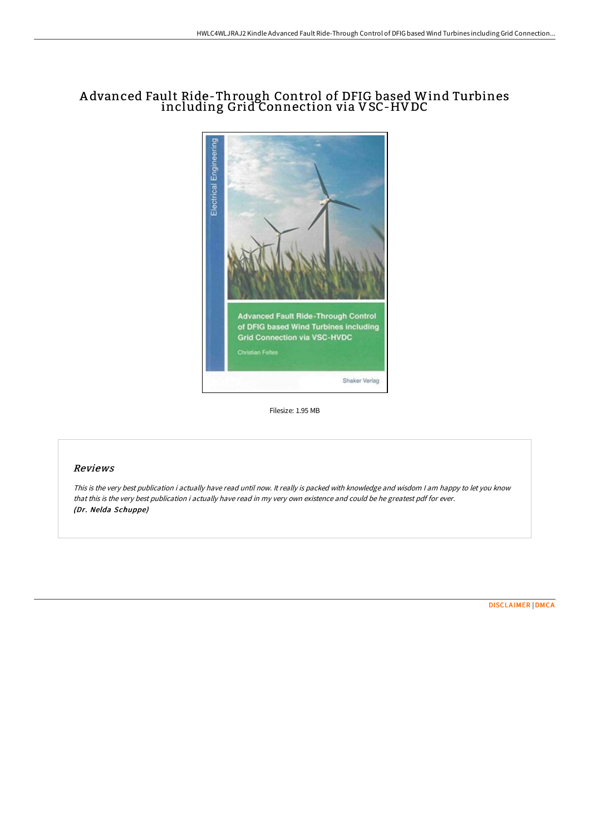# A dvanced Fault Ride-Through Control of DFIG based Wind Turbines including Grid Connection via VSC-HV DC



Filesize: 1.95 MB

## Reviews

This is the very best publication i actually have read until now. It really is packed with knowledge and wisdom I am happy to let you know that this is the very best publication i actually have read in my very own existence and could be he greatest pdf for ever. (Dr. Nelda Schuppe)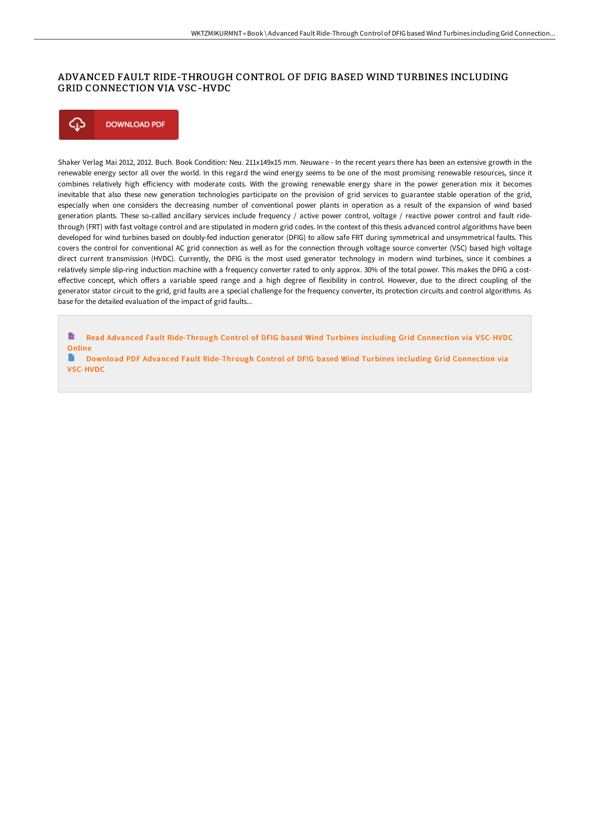### ADVANCED FAULT RIDE-THROUGH CONTROL OF DFIG BASED WIND TURBINES INCLUDING GRID CONNECTION VIA VSC-HVDC

⊕ **DOWNLOAD PDF** 

Shaker Verlag Mai 2012, 2012. Buch. Book Condition: Neu. 211x149x15 mm. Neuware - In the recent years there has been an extensive growth in the renewable energy sector all over the world. In this regard the wind energy seems to be one of the most promising renewable resources, since it combines relatively high efficiency with moderate costs. With the growing renewable energy share in the power generation mix it becomes inevitable that also these new generation technologies participate on the provision of grid services to guarantee stable operation of the grid, especially when one considers the decreasing number of conventional power plants in operation as a result of the expansion of wind based generation plants. These so-called ancillary services include frequency / active power control, voltage / reactive power control and fault ridethrough (FRT) with fast voltage control and are stipulated in modern grid codes. In the context of this thesis advanced control algorithms have been developed for wind turbines based on doubly-fed induction generator (DFIG) to allow safe FRT during symmetrical and unsymmetrical faults. This covers the control for conventional AC grid connection as well as for the connection through voltage source converter (VSC) based high voltage direct current transmission (HVDC). Currently, the DFIG is the most used generator technology in modern wind turbines, since it combines a relatively simple slip-ring induction machine with a frequency converter rated to only approx. 30% of the total power. This makes the DFIG a costeffective concept, which offers a variable speed range and a high degree of flexibility in control. However, due to the direct coupling of the generator stator circuit to the grid, grid faults are a special challenge for the frequency converter, its protection circuits and control algorithms. As base for the detailed evaluation of the impact of grid faults...

B Read Advanced Fault [Ride-Through](http://techno-pub.tech/advanced-fault-ride-through-control-of-dfig-base.html) Control of DFIG based Wind Turbines including Grid Connection via VSC-HVDC **Online** 

Download PDF Advanced Fault [Ride-Through](http://techno-pub.tech/advanced-fault-ride-through-control-of-dfig-base.html) Control of DFIG based Wind Turbines including Grid Connection via VSC-HVDC